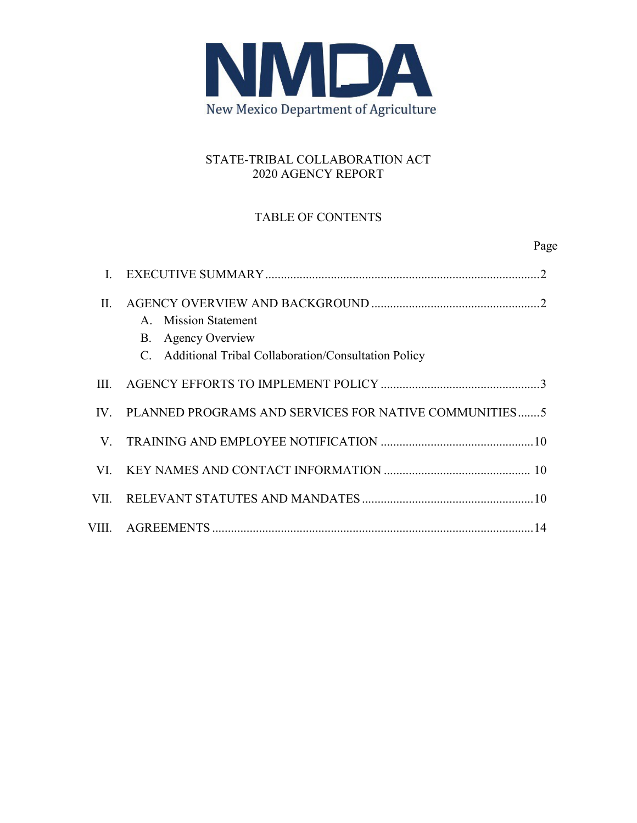

## STATE-TRIBAL COLLABORATION ACT 2020 AGENCY REPORT

## TABLE OF CONTENTS

Page

| $\Pi$ . | A. Mission Statement<br>B. Agency Overview<br>C. Additional Tribal Collaboration/Consultation Policy |
|---------|------------------------------------------------------------------------------------------------------|
| III.    |                                                                                                      |
|         | IV. PLANNED PROGRAMS AND SERVICES FOR NATIVE COMMUNITIES5                                            |
|         |                                                                                                      |
|         |                                                                                                      |
|         |                                                                                                      |
|         |                                                                                                      |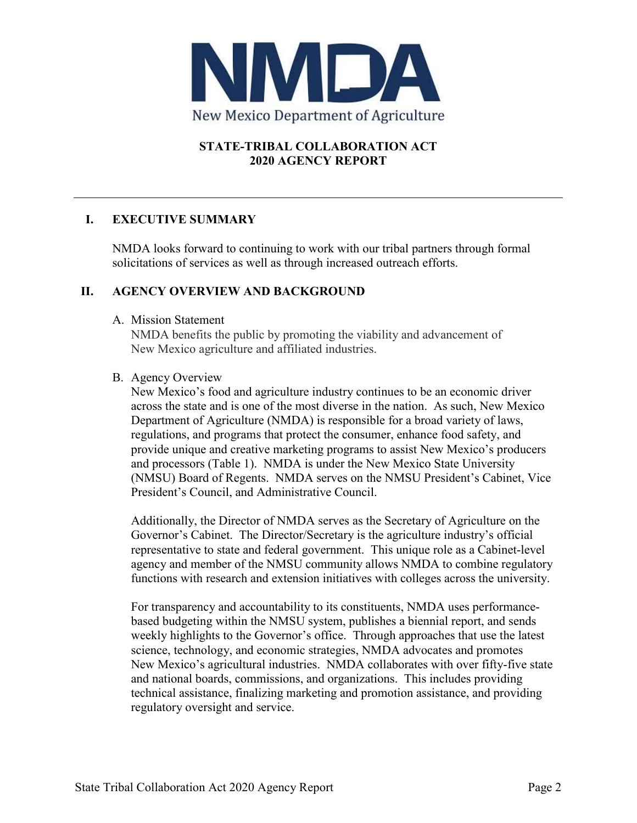

## **STATE-TRIBAL COLLABORATION ACT 2020 AGENCY REPORT**

## **I. EXECUTIVE SUMMARY**

NMDA looks forward to continuing to work with our tribal partners through formal solicitations of services as well as through increased outreach efforts.

### **II. AGENCY OVERVIEW AND BACKGROUND**

A. Mission Statement

NMDA benefits the public by promoting the viability and advancement of New Mexico agriculture and affiliated industries.

#### B. Agency Overview

New Mexico's food and agriculture industry continues to be an economic driver across the state and is one of the most diverse in the nation. As such, New Mexico Department of Agriculture (NMDA) is responsible for a broad variety of laws, regulations, and programs that protect the consumer, enhance food safety, and provide unique and creative marketing programs to assist New Mexico's producers and processors (Table 1). NMDA is under the New Mexico State University (NMSU) Board of Regents. NMDA serves on the NMSU President's Cabinet, Vice President's Council, and Administrative Council.

Additionally, the Director of NMDA serves as the Secretary of Agriculture on the Governor's Cabinet. The Director/Secretary is the agriculture industry's official representative to state and federal government. This unique role as a Cabinet-level agency and member of the NMSU community allows NMDA to combine regulatory functions with research and extension initiatives with colleges across the university.

For transparency and accountability to its constituents, NMDA uses performancebased budgeting within the NMSU system, publishes a biennial report, and sends weekly highlights to the Governor's office. Through approaches that use the latest science, technology, and economic strategies, NMDA advocates and promotes New Mexico's agricultural industries. NMDA collaborates with over fifty-five state and national boards, commissions, and organizations. This includes providing technical assistance, finalizing marketing and promotion assistance, and providing regulatory oversight and service.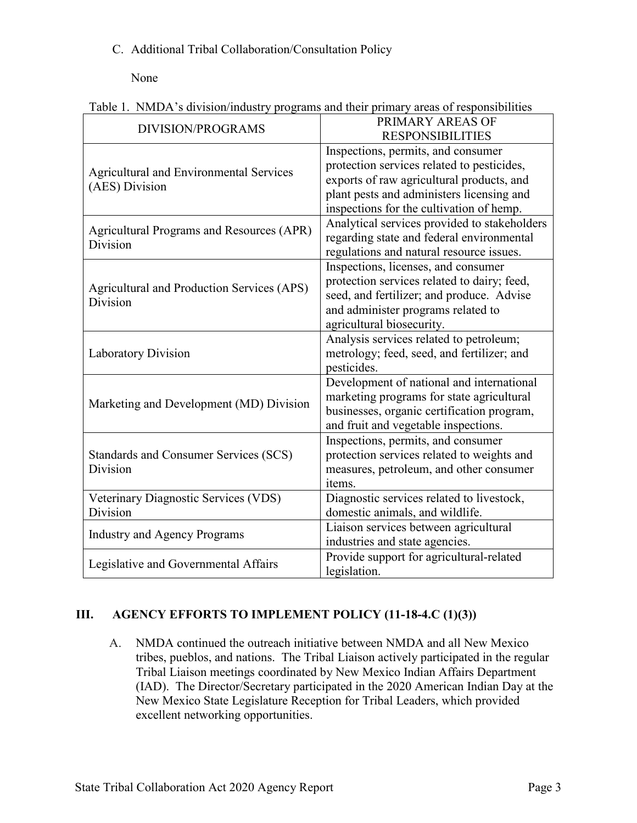## C. Additional Tribal Collaboration/Consultation Policy

None

|  | Table 1. NMDA's division/industry programs and their primary areas of responsibilities |  |  |  |
|--|----------------------------------------------------------------------------------------|--|--|--|
|  |                                                                                        |  |  |  |

| <b>DIVISION/PROGRAMS</b>                                     | PRIMARY AREAS OF                             |  |
|--------------------------------------------------------------|----------------------------------------------|--|
|                                                              | <b>RESPONSIBILITIES</b>                      |  |
|                                                              | Inspections, permits, and consumer           |  |
| <b>Agricultural and Environmental Services</b>               | protection services related to pesticides,   |  |
| (AES) Division                                               | exports of raw agricultural products, and    |  |
|                                                              | plant pests and administers licensing and    |  |
|                                                              | inspections for the cultivation of hemp.     |  |
|                                                              | Analytical services provided to stakeholders |  |
| <b>Agricultural Programs and Resources (APR)</b><br>Division | regarding state and federal environmental    |  |
|                                                              | regulations and natural resource issues.     |  |
|                                                              | Inspections, licenses, and consumer          |  |
|                                                              | protection services related to dairy; feed,  |  |
| Agricultural and Production Services (APS)                   | seed, and fertilizer; and produce. Advise    |  |
| Division                                                     | and administer programs related to           |  |
|                                                              | agricultural biosecurity.                    |  |
|                                                              | Analysis services related to petroleum;      |  |
| <b>Laboratory Division</b>                                   | metrology; feed, seed, and fertilizer; and   |  |
|                                                              | pesticides.                                  |  |
|                                                              | Development of national and international    |  |
|                                                              | marketing programs for state agricultural    |  |
| Marketing and Development (MD) Division                      | businesses, organic certification program,   |  |
|                                                              | and fruit and vegetable inspections.         |  |
|                                                              | Inspections, permits, and consumer           |  |
| Standards and Consumer Services (SCS)                        | protection services related to weights and   |  |
| Division                                                     | measures, petroleum, and other consumer      |  |
|                                                              | items.                                       |  |
| Veterinary Diagnostic Services (VDS)                         | Diagnostic services related to livestock,    |  |
| Division                                                     | domestic animals, and wildlife.              |  |
|                                                              | Liaison services between agricultural        |  |
| <b>Industry and Agency Programs</b>                          | industries and state agencies.               |  |
|                                                              | Provide support for agricultural-related     |  |
| Legislative and Governmental Affairs                         | legislation.                                 |  |

## **III. AGENCY EFFORTS TO IMPLEMENT POLICY (11-18-4.C (1)(3))**

A. NMDA continued the outreach initiative between NMDA and all New Mexico tribes, pueblos, and nations. The Tribal Liaison actively participated in the regular Tribal Liaison meetings coordinated by New Mexico Indian Affairs Department (IAD). The Director/Secretary participated in the 2020 American Indian Day at the New Mexico State Legislature Reception for Tribal Leaders, which provided excellent networking opportunities.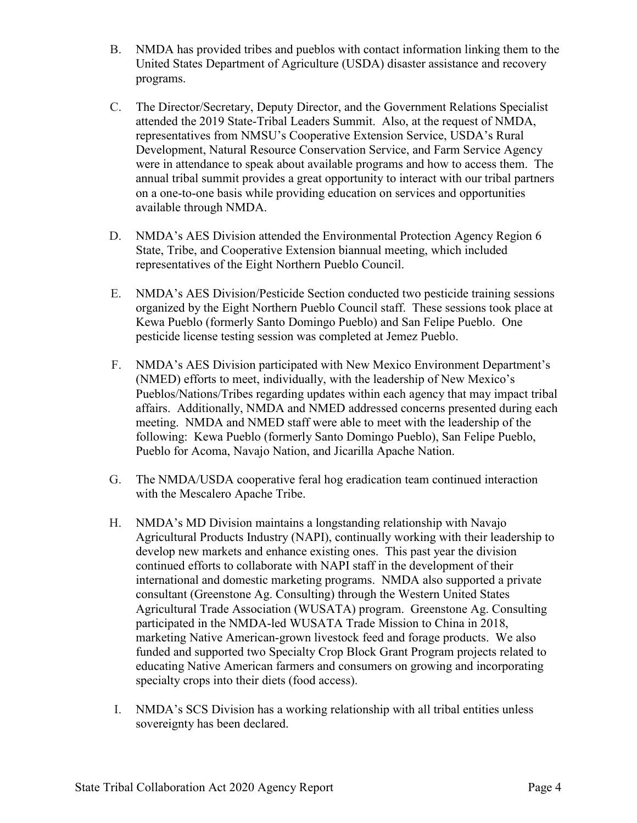- B. NMDA has provided tribes and pueblos with contact information linking them to the United States Department of Agriculture (USDA) disaster assistance and recovery programs.
- C. The Director/Secretary, Deputy Director, and the Government Relations Specialist attended the 2019 State-Tribal Leaders Summit. Also, at the request of NMDA, representatives from NMSU's Cooperative Extension Service, USDA's Rural Development, Natural Resource Conservation Service, and Farm Service Agency were in attendance to speak about available programs and how to access them. The annual tribal summit provides a great opportunity to interact with our tribal partners on a one-to-one basis while providing education on services and opportunities available through NMDA.
- D. NMDA's AES Division attended the Environmental Protection Agency Region 6 State, Tribe, and Cooperative Extension biannual meeting, which included representatives of the Eight Northern Pueblo Council.
- E. NMDA's AES Division/Pesticide Section conducted two pesticide training sessions organized by the Eight Northern Pueblo Council staff. These sessions took place at Kewa Pueblo (formerly Santo Domingo Pueblo) and San Felipe Pueblo. One pesticide license testing session was completed at Jemez Pueblo.
- F. NMDA's AES Division participated with New Mexico Environment Department's (NMED) efforts to meet, individually, with the leadership of New Mexico's Pueblos/Nations/Tribes regarding updates within each agency that may impact tribal affairs. Additionally, NMDA and NMED addressed concerns presented during each meeting. NMDA and NMED staff were able to meet with the leadership of the following: Kewa Pueblo (formerly Santo Domingo Pueblo), San Felipe Pueblo, Pueblo for Acoma, Navajo Nation, and Jicarilla Apache Nation.
- G. The NMDA/USDA cooperative feral hog eradication team continued interaction with the Mescalero Apache Tribe.
- H. NMDA's MD Division maintains a longstanding relationship with Navajo Agricultural Products Industry (NAPI), continually working with their leadership to develop new markets and enhance existing ones. This past year the division continued efforts to collaborate with NAPI staff in the development of their international and domestic marketing programs. NMDA also supported a private consultant (Greenstone Ag. Consulting) through the Western United States Agricultural Trade Association (WUSATA) program. Greenstone Ag. Consulting participated in the NMDA-led WUSATA Trade Mission to China in 2018, marketing Native American-grown livestock feed and forage products. We also funded and supported two Specialty Crop Block Grant Program projects related to educating Native American farmers and consumers on growing and incorporating specialty crops into their diets (food access).
- I. NMDA's SCS Division has a working relationship with all tribal entities unless sovereignty has been declared.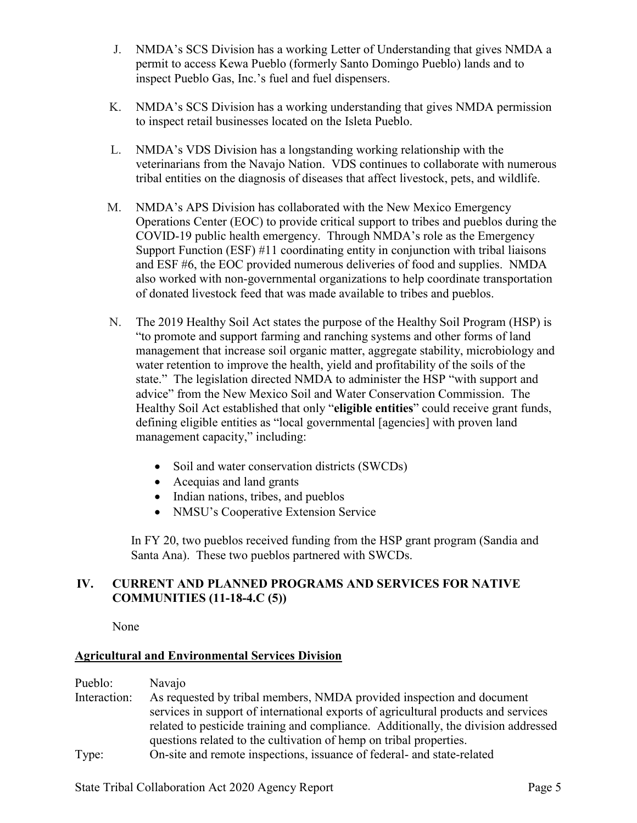- J. NMDA's SCS Division has a working Letter of Understanding that gives NMDA a permit to access Kewa Pueblo (formerly Santo Domingo Pueblo) lands and to inspect Pueblo Gas, Inc.'s fuel and fuel dispensers.
- K. NMDA's SCS Division has a working understanding that gives NMDA permission to inspect retail businesses located on the Isleta Pueblo.
- L. NMDA's VDS Division has a longstanding working relationship with the veterinarians from the Navajo Nation. VDS continues to collaborate with numerous tribal entities on the diagnosis of diseases that affect livestock, pets, and wildlife.
- M. NMDA's APS Division has collaborated with the New Mexico Emergency Operations Center (EOC) to provide critical support to tribes and pueblos during the COVID-19 public health emergency. Through NMDA's role as the Emergency Support Function (ESF) #11 coordinating entity in conjunction with tribal liaisons and ESF #6, the EOC provided numerous deliveries of food and supplies. NMDA also worked with non-governmental organizations to help coordinate transportation of donated livestock feed that was made available to tribes and pueblos.
- N. The 2019 Healthy Soil Act states the purpose of the Healthy Soil Program (HSP) is "to promote and support farming and ranching systems and other forms of land management that increase soil organic matter, aggregate stability, microbiology and water retention to improve the health, yield and profitability of the soils of the state." The legislation directed NMDA to administer the HSP "with support and advice" from the New Mexico Soil and Water Conservation Commission. The Healthy Soil Act established that only "**eligible entities**" could receive grant funds, defining eligible entities as "local governmental [agencies] with proven land management capacity," including:
	- Soil and water conservation districts (SWCDs)
	- Acequias and land grants
	- Indian nations, tribes, and pueblos
	- NMSU's Cooperative Extension Service

In FY 20, two pueblos received funding from the HSP grant program (Sandia and Santa Ana). These two pueblos partnered with SWCDs.

## **IV. CURRENT AND PLANNED PROGRAMS AND SERVICES FOR NATIVE COMMUNITIES (11-18-4.C (5))**

None

## **Agricultural and Environmental Services Division**

Pueblo: Navajo

- Interaction: As requested by tribal members, NMDA provided inspection and document services in support of international exports of agricultural products and services related to pesticide training and compliance. Additionally, the division addressed questions related to the cultivation of hemp on tribal properties.
- Type: On-site and remote inspections, issuance of federal- and state-related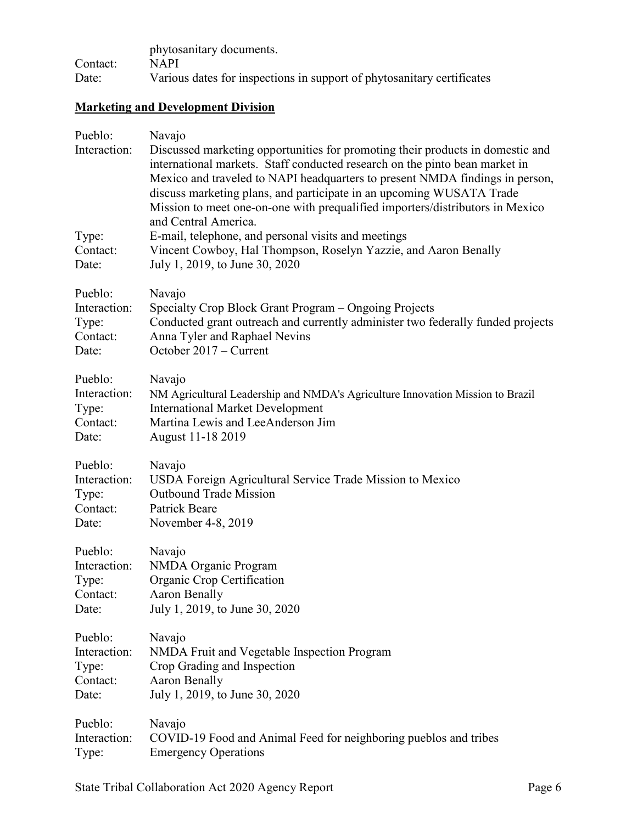|          | phytosanitary documents.                                               |
|----------|------------------------------------------------------------------------|
| Contact: | <b>NAPI</b>                                                            |
| Date:    | Various dates for inspections in support of phytosanitary certificates |

# **Marketing and Development Division**

| Pueblo:<br>Interaction:<br>Type:<br>Contact:<br>Date: | Navajo<br>Discussed marketing opportunities for promoting their products in domestic and<br>international markets. Staff conducted research on the pinto bean market in<br>Mexico and traveled to NAPI headquarters to present NMDA findings in person,<br>discuss marketing plans, and participate in an upcoming WUSATA Trade<br>Mission to meet one-on-one with prequalified importers/distributors in Mexico<br>and Central America.<br>E-mail, telephone, and personal visits and meetings<br>Vincent Cowboy, Hal Thompson, Roselyn Yazzie, and Aaron Benally<br>July 1, 2019, to June 30, 2020 |
|-------------------------------------------------------|------------------------------------------------------------------------------------------------------------------------------------------------------------------------------------------------------------------------------------------------------------------------------------------------------------------------------------------------------------------------------------------------------------------------------------------------------------------------------------------------------------------------------------------------------------------------------------------------------|
| Pueblo:                                               | Navajo                                                                                                                                                                                                                                                                                                                                                                                                                                                                                                                                                                                               |
| Interaction:                                          | Specialty Crop Block Grant Program – Ongoing Projects                                                                                                                                                                                                                                                                                                                                                                                                                                                                                                                                                |
| Type:                                                 | Conducted grant outreach and currently administer two federally funded projects                                                                                                                                                                                                                                                                                                                                                                                                                                                                                                                      |
| Contact:                                              | Anna Tyler and Raphael Nevins                                                                                                                                                                                                                                                                                                                                                                                                                                                                                                                                                                        |
| Date:                                                 | October 2017 – Current                                                                                                                                                                                                                                                                                                                                                                                                                                                                                                                                                                               |
| Pueblo:                                               | Navajo                                                                                                                                                                                                                                                                                                                                                                                                                                                                                                                                                                                               |
| Interaction:                                          | NM Agricultural Leadership and NMDA's Agriculture Innovation Mission to Brazil                                                                                                                                                                                                                                                                                                                                                                                                                                                                                                                       |
| Type:                                                 | <b>International Market Development</b>                                                                                                                                                                                                                                                                                                                                                                                                                                                                                                                                                              |
| Contact:                                              | Martina Lewis and LeeAnderson Jim                                                                                                                                                                                                                                                                                                                                                                                                                                                                                                                                                                    |
| Date:                                                 | August 11-18 2019                                                                                                                                                                                                                                                                                                                                                                                                                                                                                                                                                                                    |
| Pueblo:                                               | Navajo                                                                                                                                                                                                                                                                                                                                                                                                                                                                                                                                                                                               |
| Interaction:                                          | USDA Foreign Agricultural Service Trade Mission to Mexico                                                                                                                                                                                                                                                                                                                                                                                                                                                                                                                                            |
| Type:                                                 | <b>Outbound Trade Mission</b>                                                                                                                                                                                                                                                                                                                                                                                                                                                                                                                                                                        |
| Contact:                                              | Patrick Beare                                                                                                                                                                                                                                                                                                                                                                                                                                                                                                                                                                                        |
| Date:                                                 | November 4-8, 2019                                                                                                                                                                                                                                                                                                                                                                                                                                                                                                                                                                                   |
| Pueblo:                                               | Navajo                                                                                                                                                                                                                                                                                                                                                                                                                                                                                                                                                                                               |
| Interaction:                                          | NMDA Organic Program                                                                                                                                                                                                                                                                                                                                                                                                                                                                                                                                                                                 |
| Type:                                                 | Organic Crop Certification                                                                                                                                                                                                                                                                                                                                                                                                                                                                                                                                                                           |
| Contact:                                              | Aaron Benally                                                                                                                                                                                                                                                                                                                                                                                                                                                                                                                                                                                        |
| Date:                                                 | July 1, 2019, to June 30, 2020                                                                                                                                                                                                                                                                                                                                                                                                                                                                                                                                                                       |
| Pueblo:                                               | Navajo                                                                                                                                                                                                                                                                                                                                                                                                                                                                                                                                                                                               |
| Interaction:                                          | NMDA Fruit and Vegetable Inspection Program                                                                                                                                                                                                                                                                                                                                                                                                                                                                                                                                                          |
| Type:                                                 | Crop Grading and Inspection                                                                                                                                                                                                                                                                                                                                                                                                                                                                                                                                                                          |
| Contact:                                              | Aaron Benally                                                                                                                                                                                                                                                                                                                                                                                                                                                                                                                                                                                        |
| Date:                                                 | July 1, 2019, to June 30, 2020                                                                                                                                                                                                                                                                                                                                                                                                                                                                                                                                                                       |
| Pueblo:                                               | Navajo                                                                                                                                                                                                                                                                                                                                                                                                                                                                                                                                                                                               |
| Interaction:                                          | COVID-19 Food and Animal Feed for neighboring pueblos and tribes                                                                                                                                                                                                                                                                                                                                                                                                                                                                                                                                     |
| Type:                                                 | <b>Emergency Operations</b>                                                                                                                                                                                                                                                                                                                                                                                                                                                                                                                                                                          |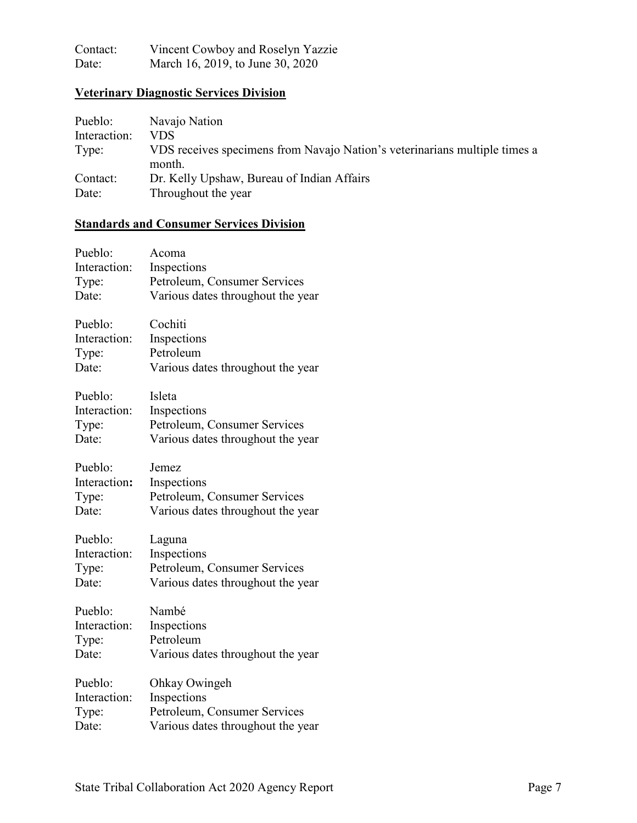| Contact: | Vincent Cowboy and Roselyn Yazzie |
|----------|-----------------------------------|
| Date:    | March 16, 2019, to June 30, 2020  |

## **Veterinary Diagnostic Services Division**

| Pueblo:      | Navajo Nation                                                                        |
|--------------|--------------------------------------------------------------------------------------|
| Interaction: | VDS                                                                                  |
| Type:        | VDS receives specimens from Navajo Nation's veterinarians multiple times a<br>month. |
| Contact:     | Dr. Kelly Upshaw, Bureau of Indian Affairs                                           |
| Date:        | Throughout the year                                                                  |

## **Standards and Consumer Services Division**

| Pueblo:      | Acoma                             |
|--------------|-----------------------------------|
| Interaction: | Inspections                       |
| Type:        | Petroleum, Consumer Services      |
| Date:        | Various dates throughout the year |
| Pueblo:      | Cochiti                           |
| Interaction: | Inspections                       |
| Type:        | Petroleum                         |
| Date:        | Various dates throughout the year |
| Pueblo:      | Isleta                            |
| Interaction: | Inspections                       |
| Type:        | Petroleum, Consumer Services      |
| Date:        | Various dates throughout the year |
| Pueblo:      | Jemez                             |
| Interaction: | Inspections                       |
| Type:        | Petroleum, Consumer Services      |
| Date:        | Various dates throughout the year |
| Pueblo:      | Laguna                            |
| Interaction: | Inspections                       |
| Type:        | Petroleum, Consumer Services      |
| Date:        | Various dates throughout the year |
| Pueblo:      | Nambé                             |
| Interaction: | Inspections                       |
| Type:        | Petroleum                         |
| Date:        | Various dates throughout the year |
| Pueblo:      | Ohkay Owingeh                     |
| Interaction: | Inspections                       |
| Type:        | Petroleum, Consumer Services      |
| Date:        | Various dates throughout the year |
|              |                                   |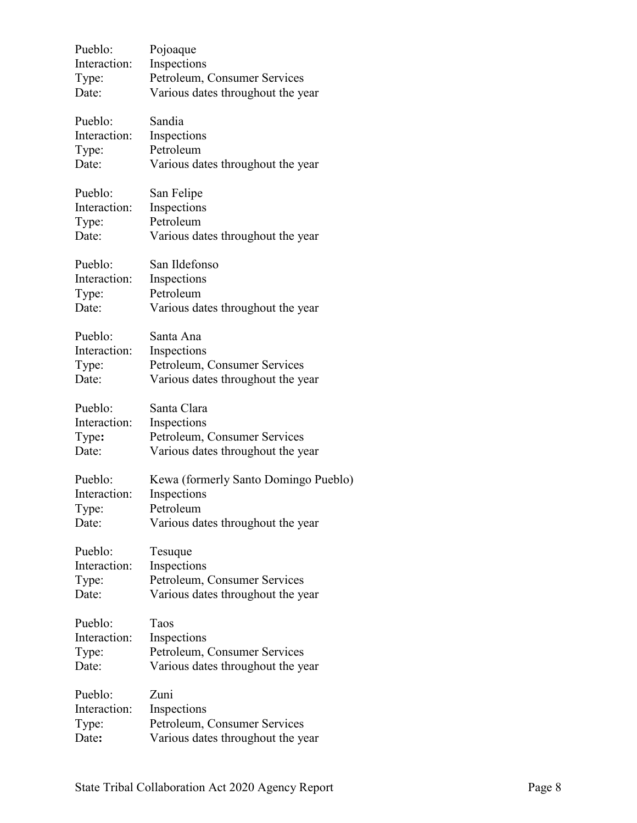| Pueblo:      | Pojoaque                             |
|--------------|--------------------------------------|
| Interaction: | Inspections                          |
| Type:        | Petroleum, Consumer Services         |
| Date:        | Various dates throughout the year    |
| Pueblo:      | Sandia                               |
| Interaction: | Inspections                          |
| Type:        | Petroleum                            |
| Date:        | Various dates throughout the year    |
| Pueblo:      | San Felipe                           |
| Interaction: | Inspections                          |
| Type:        | Petroleum                            |
| Date:        | Various dates throughout the year    |
| Pueblo:      | San Ildefonso                        |
| Interaction: | Inspections                          |
| Type:        | Petroleum                            |
| Date:        | Various dates throughout the year    |
| Pueblo:      | Santa Ana                            |
| Interaction: | Inspections                          |
| Type:        | Petroleum, Consumer Services         |
| Date:        | Various dates throughout the year    |
| Pueblo:      | Santa Clara                          |
| Interaction: | Inspections                          |
| Type:        | Petroleum, Consumer Services         |
| Date:        | Various dates throughout the year    |
| Pueblo:      | Kewa (formerly Santo Domingo Pueblo) |
| Interaction: | Inspections                          |
| Type:        | Petroleum                            |
| Date:        | Various dates throughout the year    |
| Pueblo:      | Tesuque                              |
| Interaction: | Inspections                          |
| Type:        | Petroleum, Consumer Services         |
| Date:        | Various dates throughout the year    |
| Pueblo:      | Taos                                 |
| Interaction: | Inspections                          |
| Type:        | Petroleum, Consumer Services         |
| Date:        | Various dates throughout the year    |
| Pueblo:      | Zuni                                 |
| Interaction: | Inspections                          |
| Type:        | Petroleum, Consumer Services         |
| Date:        | Various dates throughout the year    |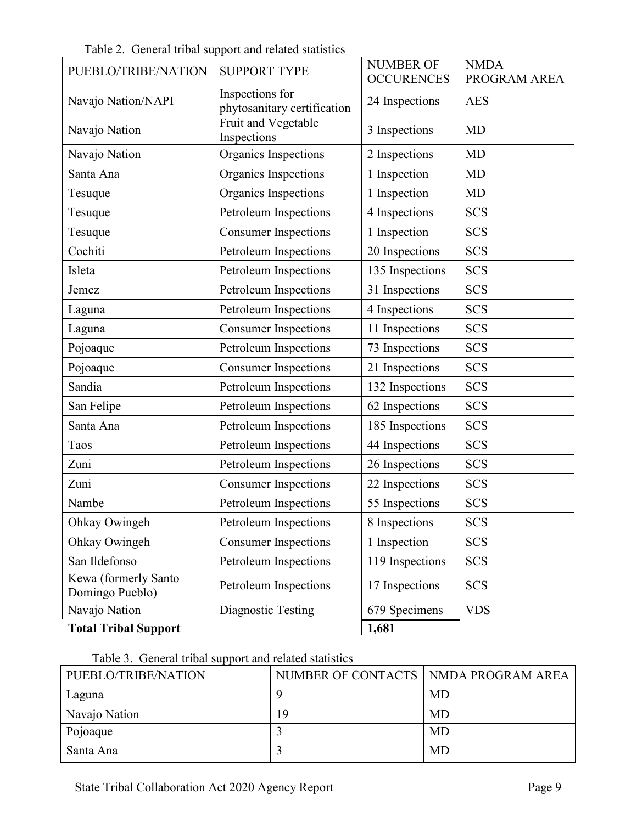|                                         | Table 2. General tribal support and related statistics | <b>NUMBER OF</b>  | <b>NMDA</b>  |
|-----------------------------------------|--------------------------------------------------------|-------------------|--------------|
| PUEBLO/TRIBE/NATION                     | <b>SUPPORT TYPE</b>                                    | <b>OCCURENCES</b> | PROGRAM AREA |
| Navajo Nation/NAPI                      | Inspections for<br>phytosanitary certification         | 24 Inspections    | <b>AES</b>   |
| Navajo Nation                           | Fruit and Vegetable<br>Inspections                     | 3 Inspections     | <b>MD</b>    |
| Navajo Nation                           | Organics Inspections                                   | 2 Inspections     | <b>MD</b>    |
| Santa Ana                               | Organics Inspections                                   | 1 Inspection      | <b>MD</b>    |
| Tesuque                                 | Organics Inspections                                   | 1 Inspection      | MD           |
| Tesuque                                 | Petroleum Inspections                                  | 4 Inspections     | <b>SCS</b>   |
| Tesuque                                 | <b>Consumer Inspections</b>                            | 1 Inspection      | <b>SCS</b>   |
| Cochiti                                 | Petroleum Inspections                                  | 20 Inspections    | <b>SCS</b>   |
| Isleta                                  | Petroleum Inspections                                  | 135 Inspections   | <b>SCS</b>   |
| Jemez                                   | Petroleum Inspections                                  | 31 Inspections    | <b>SCS</b>   |
| Laguna                                  | Petroleum Inspections                                  | 4 Inspections     | <b>SCS</b>   |
| Laguna                                  | <b>Consumer Inspections</b>                            | 11 Inspections    | <b>SCS</b>   |
| Pojoaque                                | Petroleum Inspections                                  | 73 Inspections    | <b>SCS</b>   |
| Pojoaque                                | <b>Consumer Inspections</b>                            | 21 Inspections    | <b>SCS</b>   |
| Sandia                                  | Petroleum Inspections                                  | 132 Inspections   | <b>SCS</b>   |
| San Felipe                              | Petroleum Inspections                                  | 62 Inspections    | <b>SCS</b>   |
| Santa Ana                               | Petroleum Inspections                                  | 185 Inspections   | <b>SCS</b>   |
| Taos                                    | Petroleum Inspections                                  | 44 Inspections    | <b>SCS</b>   |
| Zuni                                    | Petroleum Inspections                                  | 26 Inspections    | <b>SCS</b>   |
| Zuni                                    | <b>Consumer Inspections</b>                            | 22 Inspections    | <b>SCS</b>   |
| Nambe                                   | Petroleum Inspections                                  | 55 Inspections    | <b>SCS</b>   |
| Ohkay Owingeh                           | Petroleum Inspections                                  | 8 Inspections     | <b>SCS</b>   |
| Ohkay Owingeh                           | <b>Consumer Inspections</b>                            | 1 Inspection      | <b>SCS</b>   |
| San Ildefonso                           | Petroleum Inspections                                  | 119 Inspections   | <b>SCS</b>   |
| Kewa (formerly Santo<br>Domingo Pueblo) | Petroleum Inspections                                  | 17 Inspections    | <b>SCS</b>   |
| Navajo Nation                           | Diagnostic Testing                                     | 679 Specimens     | <b>VDS</b>   |
| <b>Total Tribal Support</b>             |                                                        | 1,681             |              |

Table 2. General tribal support and related statistics

Table 3. General tribal support and related statistics

| PUEBLO/TRIBE/NATION | NUMBER OF CONTACTS   NMDA PROGRAM AREA |           |
|---------------------|----------------------------------------|-----------|
| Laguna              |                                        | MD        |
| Navajo Nation       | 19                                     | MD        |
| Pojoaque            |                                        | MD        |
| Santa Ana           |                                        | <b>MD</b> |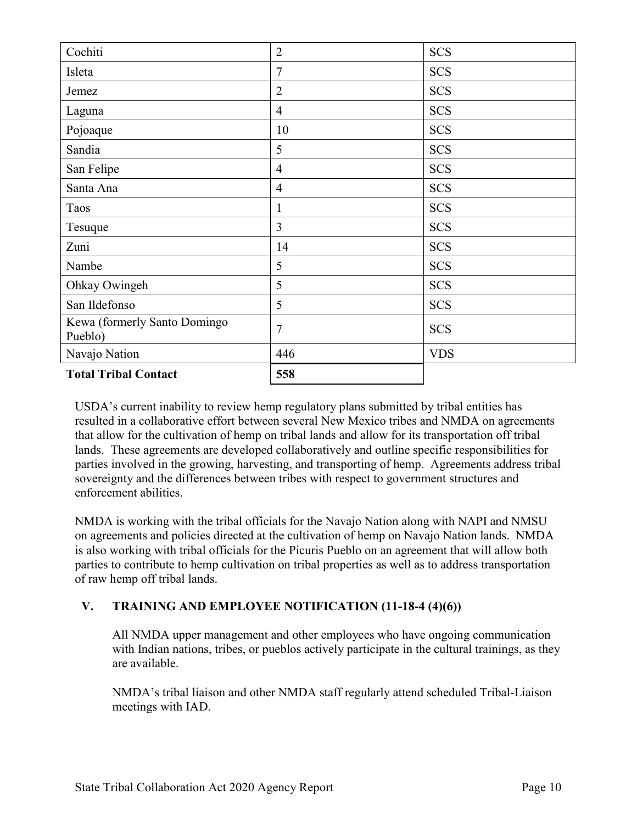| Cochiti                                 | $\overline{2}$ | <b>SCS</b> |
|-----------------------------------------|----------------|------------|
| Isleta                                  | 7              | <b>SCS</b> |
| Jemez                                   | $\overline{2}$ | <b>SCS</b> |
| Laguna                                  | $\overline{4}$ | <b>SCS</b> |
| Pojoaque                                | 10             | <b>SCS</b> |
| Sandia                                  | 5              | <b>SCS</b> |
| San Felipe                              | $\overline{4}$ | <b>SCS</b> |
| Santa Ana                               | $\overline{4}$ | <b>SCS</b> |
| Taos                                    | $\mathbf{1}$   | <b>SCS</b> |
| Tesuque                                 | $\overline{3}$ | <b>SCS</b> |
| Zuni                                    | 14             | <b>SCS</b> |
| Nambe                                   | 5              | <b>SCS</b> |
| Ohkay Owingeh                           | 5              | <b>SCS</b> |
| San Ildefonso                           | 5              | <b>SCS</b> |
| Kewa (formerly Santo Domingo<br>Pueblo) | 7              | <b>SCS</b> |
| Navajo Nation                           | 446            | <b>VDS</b> |
| <b>Total Tribal Contact</b>             | 558            |            |

USDA's current inability to review hemp regulatory plans submitted by tribal entities has resulted in a collaborative effort between several New Mexico tribes and NMDA on agreements that allow for the cultivation of hemp on tribal lands and allow for its transportation off tribal lands. These agreements are developed collaboratively and outline specific responsibilities for parties involved in the growing, harvesting, and transporting of hemp. Agreements address tribal sovereignty and the differences between tribes with respect to government structures and enforcement abilities.

NMDA is working with the tribal officials for the Navajo Nation along with NAPI and NMSU on agreements and policies directed at the cultivation of hemp on Navajo Nation lands. NMDA is also working with tribal officials for the Picuris Pueblo on an agreement that will allow both parties to contribute to hemp cultivation on tribal properties as well as to address transportation of raw hemp off tribal lands.

## **V. TRAINING AND EMPLOYEE NOTIFICATION (11-18-4 (4)(6))**

All NMDA upper management and other employees who have ongoing communication with Indian nations, tribes, or pueblos actively participate in the cultural trainings, as they are available.

NMDA's tribal liaison and other NMDA staff regularly attend scheduled Tribal-Liaison meetings with IAD.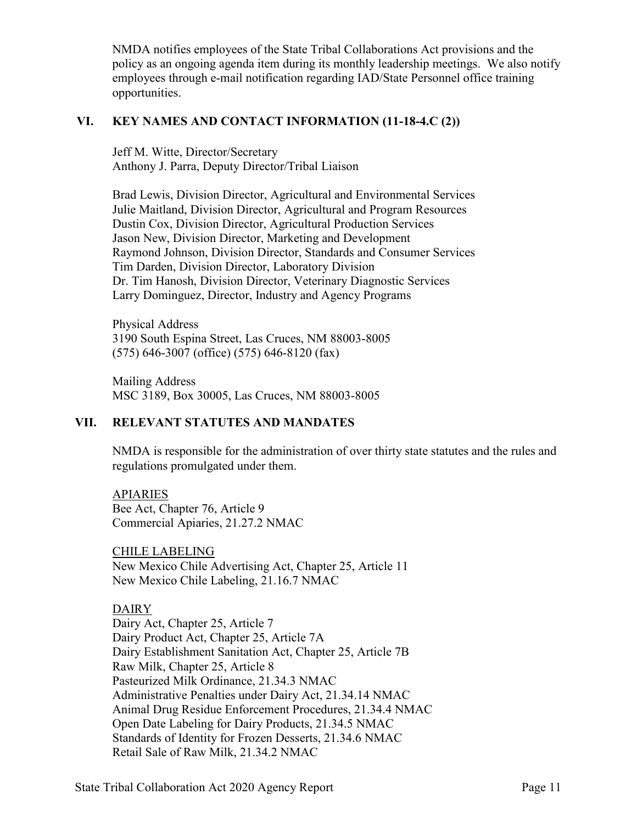NMDA notifies employees of the State Tribal Collaborations Act provisions and the policy as an ongoing agenda item during its monthly leadership meetings. We also notify employees through e-mail notification regarding IAD/State Personnel office training opportunities.

### **VI. KEY NAMES AND CONTACT INFORMATION (11-18-4.C (2))**

Jeff M. Witte, Director/Secretary Anthony J. Parra, Deputy Director/Tribal Liaison

Brad Lewis, Division Director, Agricultural and Environmental Services Julie Maitland, Division Director, Agricultural and Program Resources Dustin Cox, Division Director, Agricultural Production Services Jason New, Division Director, Marketing and Development Raymond Johnson, Division Director, Standards and Consumer Services Tim Darden, Division Director, Laboratory Division Dr. Tim Hanosh, Division Director, Veterinary Diagnostic Services Larry Dominguez, Director, Industry and Agency Programs

Physical Address 3190 South Espina Street, Las Cruces, NM 88003-8005 (575) 646-3007 (office) (575) 646-8120 (fax)

Mailing Address MSC 3189, Box 30005, Las Cruces, NM 88003-8005

## **VII. RELEVANT STATUTES AND MANDATES**

NMDA is responsible for the administration of over thirty state statutes and the rules and regulations promulgated under them.

APIARIES Bee Act, Chapter 76, Article 9 Commercial Apiaries, 21.27.2 NMAC

CHILE LABELING New Mexico Chile Advertising Act, Chapter 25, Article 11 New Mexico Chile Labeling, 21.16.7 NMAC

#### DAIRY

Dairy Act, Chapter 25, Article 7 Dairy Product Act, Chapter 25, Article 7A Dairy Establishment Sanitation Act, Chapter 25, Article 7B Raw Milk, Chapter 25, Article 8 Pasteurized Milk Ordinance, 21.34.3 NMAC Administrative Penalties under Dairy Act, 21.34.14 NMAC Animal Drug Residue Enforcement Procedures, 21.34.4 NMAC Open Date Labeling for Dairy Products, 21.34.5 NMAC Standards of Identity for Frozen Desserts, 21.34.6 NMAC Retail Sale of Raw Milk, 21.34.2 NMAC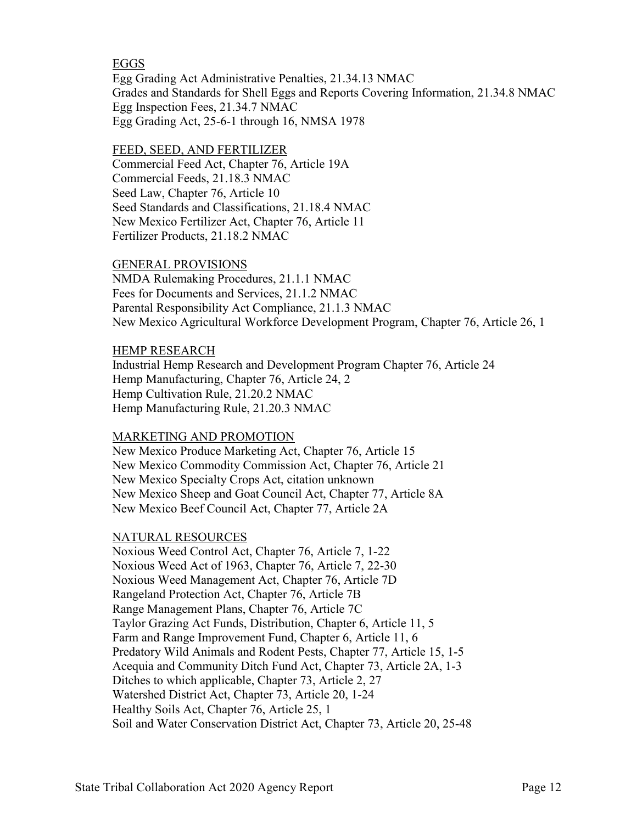### EGGS

Egg Grading Act Administrative Penalties, 21.34.13 NMAC Grades and Standards for Shell Eggs and Reports Covering Information, 21.34.8 NMAC Egg Inspection Fees, 21.34.7 NMAC Egg Grading Act, 25-6-1 through 16, NMSA 1978

#### FEED, SEED, AND FERTILIZER

Commercial Feed Act, Chapter 76, Article 19A Commercial Feeds, 21.18.3 NMAC Seed Law, Chapter 76, Article 10 Seed Standards and Classifications, 21.18.4 NMAC New Mexico Fertilizer Act, Chapter 76, Article 11 Fertilizer Products, 21.18.2 NMAC

#### GENERAL PROVISIONS

NMDA Rulemaking Procedures, 21.1.1 NMAC Fees for Documents and Services, 21.1.2 NMAC Parental Responsibility Act Compliance, 21.1.3 NMAC New Mexico Agricultural Workforce Development Program, Chapter 76, Article 26, 1

#### HEMP RESEARCH

Industrial Hemp Research and Development Program Chapter 76, Article 24 Hemp Manufacturing, Chapter 76, Article 24, 2 Hemp Cultivation Rule, 21.20.2 NMAC Hemp Manufacturing Rule, 21.20.3 NMAC

#### MARKETING AND PROMOTION

New Mexico Produce Marketing Act, Chapter 76, Article 15 New Mexico Commodity Commission Act, Chapter 76, Article 21 New Mexico Specialty Crops Act, citation unknown New Mexico Sheep and Goat Council Act, Chapter 77, Article 8A New Mexico Beef Council Act, Chapter 77, Article 2A

## NATURAL RESOURCES

Noxious Weed Control Act, Chapter 76, Article 7, 1-22 Noxious Weed Act of 1963, Chapter 76, Article 7, 22-30 Noxious Weed Management Act, Chapter 76, Article 7D Rangeland Protection Act, Chapter 76, Article 7B Range Management Plans, Chapter 76, Article 7C Taylor Grazing Act Funds, Distribution, Chapter 6, Article 11, 5 Farm and Range Improvement Fund, Chapter 6, Article 11, 6 Predatory Wild Animals and Rodent Pests, Chapter 77, Article 15, 1-5 Acequia and Community Ditch Fund Act, Chapter 73, Article 2A, 1-3 Ditches to which applicable, Chapter 73, Article 2, 27 Watershed District Act, Chapter 73, Article 20, 1-24 Healthy Soils Act, Chapter 76, Article 25, 1 Soil and Water Conservation District Act, Chapter 73, Article 20, 25-48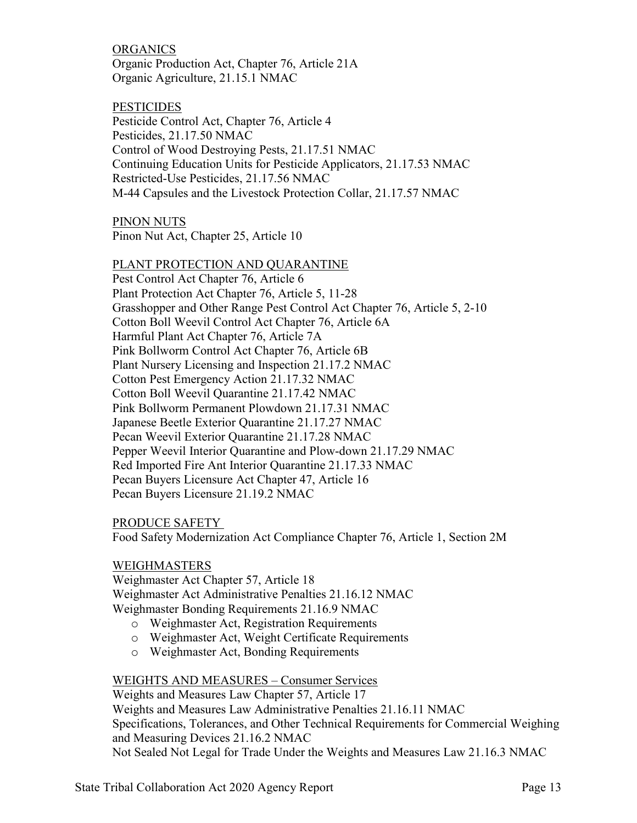ORGANICS Organic Production Act, Chapter 76, Article 21A Organic Agriculture, 21.15.1 NMAC

**PESTICIDES** Pesticide Control Act, Chapter 76, Article 4 Pesticides, 21.17.50 NMAC Control of Wood Destroying Pests, 21.17.51 NMAC Continuing Education Units for Pesticide Applicators, 21.17.53 NMAC Restricted-Use Pesticides, 21.17.56 NMAC M-44 Capsules and the Livestock Protection Collar, 21.17.57 NMAC

PINON NUTS Pinon Nut Act, Chapter 25, Article 10

### PLANT PROTECTION AND QUARANTINE

Pest Control Act Chapter 76, Article 6 Plant Protection Act Chapter 76, Article 5, 11-28 Grasshopper and Other Range Pest Control Act Chapter 76, Article 5, 2-10 Cotton Boll Weevil Control Act Chapter 76, Article 6A Harmful Plant Act Chapter 76, Article 7A Pink Bollworm Control Act Chapter 76, Article 6B Plant Nursery Licensing and Inspection 21.17.2 NMAC Cotton Pest Emergency Action 21.17.32 NMAC Cotton Boll Weevil Quarantine 21.17.42 NMAC Pink Bollworm Permanent Plowdown 21.17.31 NMAC Japanese Beetle Exterior Quarantine 21.17.27 NMAC Pecan Weevil Exterior Quarantine 21.17.28 NMAC Pepper Weevil Interior Quarantine and Plow-down 21.17.29 NMAC Red Imported Fire Ant Interior Quarantine 21.17.33 NMAC Pecan Buyers Licensure Act Chapter 47, Article 16 Pecan Buyers Licensure 21.19.2 NMAC

## PRODUCE SAFETY

Food Safety Modernization Act Compliance Chapter 76, Article 1, Section 2M

## WEIGHMASTERS

Weighmaster Act Chapter 57, Article 18 Weighmaster Act Administrative Penalties 21.16.12 NMAC Weighmaster Bonding Requirements 21.16.9 NMAC

- o Weighmaster Act, Registration Requirements
- o Weighmaster Act, Weight Certificate Requirements
- o Weighmaster Act, Bonding Requirements

#### WEIGHTS AND MEASURES – Consumer Services

Weights and Measures Law Chapter 57, Article 17 Weights and Measures Law Administrative Penalties 21.16.11 NMAC Specifications, Tolerances, and Other Technical Requirements for Commercial Weighing and Measuring Devices 21.16.2 NMAC Not Sealed Not Legal for Trade Under the Weights and Measures Law 21.16.3 NMAC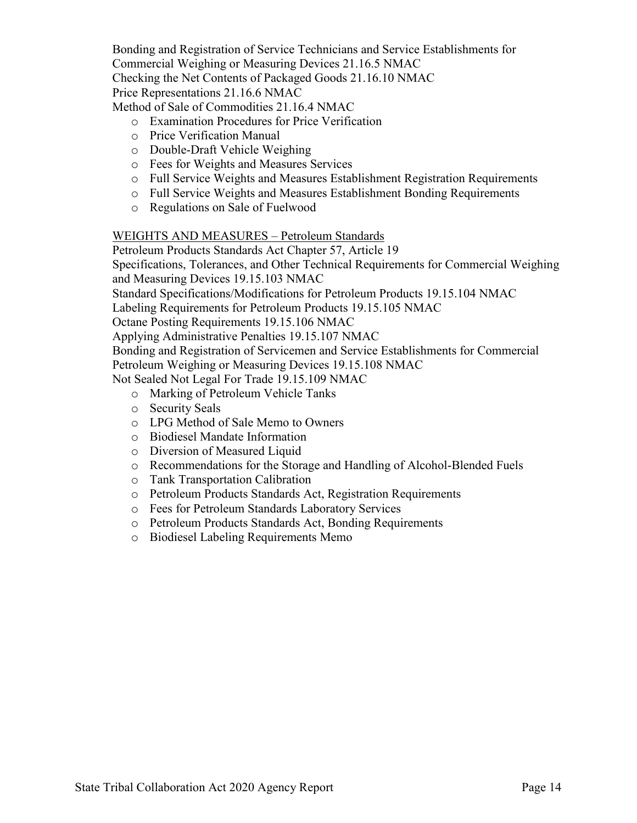Bonding and Registration of Service Technicians and Service Establishments for Commercial Weighing or Measuring Devices 21.16.5 NMAC Checking the Net Contents of Packaged Goods 21.16.10 NMAC Price Representations 21.16.6 NMAC

Method of Sale of Commodities 21.16.4 NMAC

- o Examination Procedures for Price Verification
- o Price Verification Manual
- o Double-Draft Vehicle Weighing
- o Fees for Weights and Measures Services
- o Full Service Weights and Measures Establishment Registration Requirements
- o Full Service Weights and Measures Establishment Bonding Requirements
- o Regulations on Sale of Fuelwood

#### WEIGHTS AND MEASURES – Petroleum Standards

Petroleum Products Standards Act Chapter 57, Article 19

Specifications, Tolerances, and Other Technical Requirements for Commercial Weighing and Measuring Devices 19.15.103 NMAC

Standard Specifications/Modifications for Petroleum Products 19.15.104 NMAC

Labeling Requirements for Petroleum Products 19.15.105 NMAC

Octane Posting Requirements 19.15.106 NMAC

Applying Administrative Penalties 19.15.107 NMAC

Bonding and Registration of Servicemen and Service Establishments for Commercial Petroleum Weighing or Measuring Devices 19.15.108 NMAC

Not Sealed Not Legal For Trade 19.15.109 NMAC

- o Marking of Petroleum Vehicle Tanks
- o Security Seals
- o LPG Method of Sale Memo to Owners
- o Biodiesel Mandate Information
- o Diversion of Measured Liquid
- o Recommendations for the Storage and Handling of Alcohol-Blended Fuels
- o Tank Transportation Calibration
- o Petroleum Products Standards Act, Registration Requirements
- o Fees for Petroleum Standards Laboratory Services
- o Petroleum Products Standards Act, Bonding Requirements
- o Biodiesel Labeling Requirements Memo